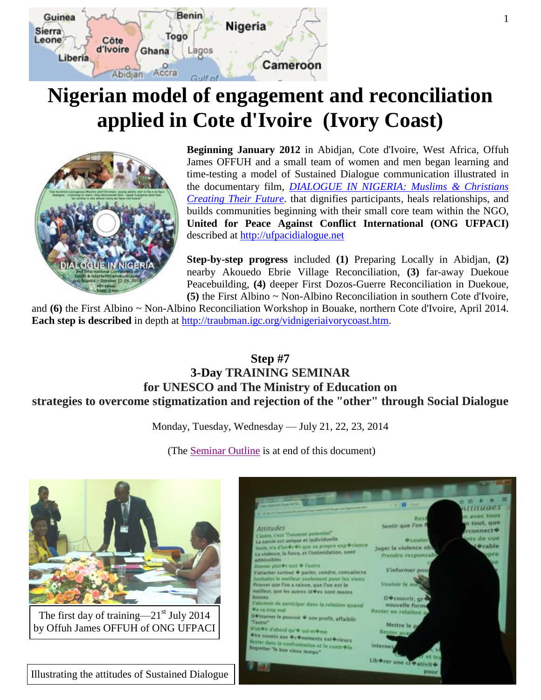

# <span id="page-0-0"></span>**Nigerian model of engagement and reconciliation applied in Cote d'Ivoire (Ivory Coast)**



**Beginning January 2012** in Abidjan, Cote d'Ivoire, West Africa, Offuh James OFFUH and a small team of women and men began learning and time-testing a model of Sustained Dialogue communication illustrated in the documentary film, *[DIALOGUE IN NIGERIA: Muslims & Christians](http://traubman.igc.org/vidnigeria.htm)  [Creating Their Future](http://traubman.igc.org/vidnigeria.htm)*. that dignifies participants, heals relationships, and builds communities beginning with their small core team within the NGO, **United for Peace Against Conflict International (ONG UFPACI)** described at [http://ufpacidialogue.net](http://ufpacidialogue.net/)

**Step-by-step progress** included **(1)** Preparing Locally in Abidjan, **(2)** nearby Akouedo Ebrie Village Reconciliation, **(3)** far-away Duekoue Peacebuilding, **(4)** deeper First Dozos-Guerre Reconciliation in Duekoue, **(5)** the First Albino ~ Non-Albino Reconciliation in southern Cote d'Ivoire,

and **(6)** the First Albino ~ Non-Albino Reconciliation Workshop in Bouake, northern Cote d'Ivoire, April 2014. **Each step is described** in depth at [http://traubman.igc.org/vidnigeriaivorycoast.htm.](http://traubman.igc.org/vidnigeriaivorycoast.htm)

## **Step #7 3-Day TRAINING SEMINAR for UNESCO and The Ministry of Education on strategies to overcome stigmatization and rejection of the "other" through Social Dialogue**

Monday, Tuesday, Wednesday — July 21, 22, 23, 2014

(The [Seminar Outline](#page-6-0) is at end of this document)

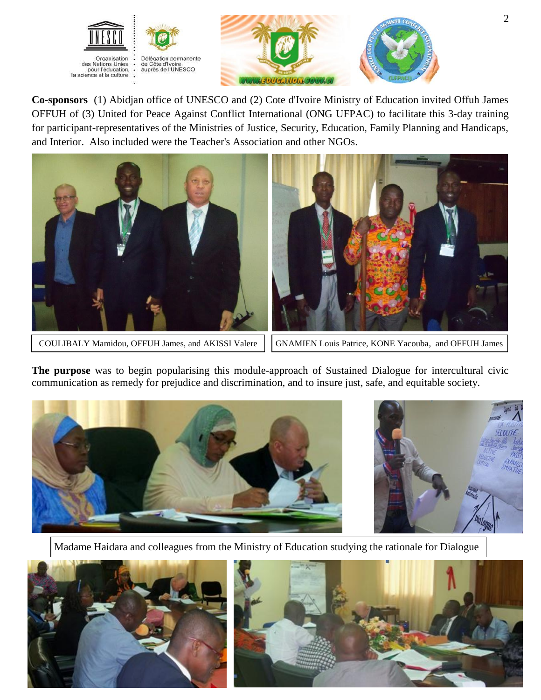



**Co-sponsors** (1) Abidjan office of UNESCO and (2) Cote d'Ivoire Ministry of Education invited Offuh James OFFUH of (3) United for Peace Against Conflict International (ONG UFPAC) to facilitate this 3-day training for participant-representatives of the Ministries of Justice, Security, Education, Family Planning and Handicaps, and Interior. Also included were the Teacher's Association and other NGOs.



COULIBALY Mamidou, OFFUH James, and AKISSI Valere | GNAMIEN Louis Patrice, KONE Yacouba, and OFFUH James

**The purpose** was to begin popularising this module-approach of Sustained Dialogue for intercultural civic communication as remedy for prejudice and discrimination, and to insure just, safe, and equitable society.



Madame Haidara and colleagues from the Ministry of Education studying the rationale for Dialogue



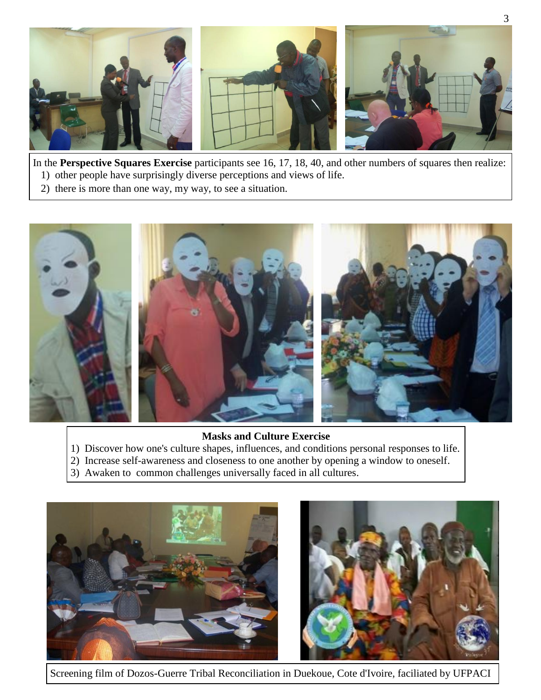

In the **Perspective Squares Exercise** participants see 16, 17, 18, 40, and other numbers of squares then realize:

- 1) other people have surprisingly diverse perceptions and views of life.
- 2) there is more than one way, my way, to see a situation.



#### **Masks and Culture Exercise**

- 1) Discover how one's culture shapes, influences, and conditions personal responses to life.
- 2) Increase self-awareness and closeness to one another by opening a window to oneself.
- 3) Awaken to common challenges universally faced in all cultures.



Screening film of Dozos-Guerre Tribal Reconciliation in Duekoue, Cote d'Ivoire, faciliated by UFPACI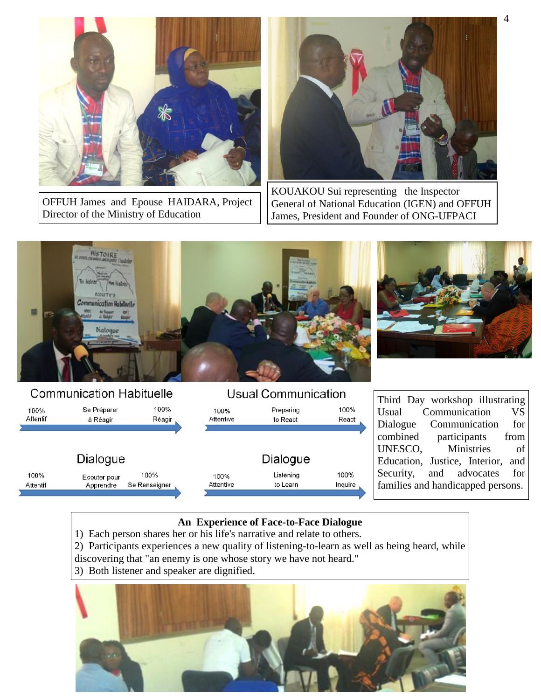

OFFUH James and Epouse HAIDARA, Project Director of the Ministry of Education



KOUAKOU Sui representing the Inspector General of National Education (IGEN) and OFFUH James, President and Founder of ONG-UFPACI



## **Communication Habituelle**

| 100%     | Se Préparer  | 100%          | 100%      | Preparing | 100%    |
|----------|--------------|---------------|-----------|-----------|---------|
| Attentif | à Réagir     | Réagir        | Attentive | to React  | React   |
|          | Dialogue     |               |           | Dialogue  |         |
| 100%     | Ecouter pour | 100%          | 100%      | Listening | 100%    |
| Attentif | Apprendre    | Se Renseigner | Attentive | to Learn  | Inquire |

Third Day workshop illustrating Usual Communication VS Dialogue Communication for combined participants from UNESCO, Ministries of Education, Justice, Interior, and Security, and advocates for families and handicapped persons.

## **An Experience of Face-to-Face Dialogue**

**Usual Communication** 

- 1) Each person shares her or his life's narrative and relate to others.
- 2) Participants experiences a new quality of listening-to-learn as well as being heard, while discovering that "an enemy is one whose story we have not heard."
- 3) Both listener and speaker are dignified.

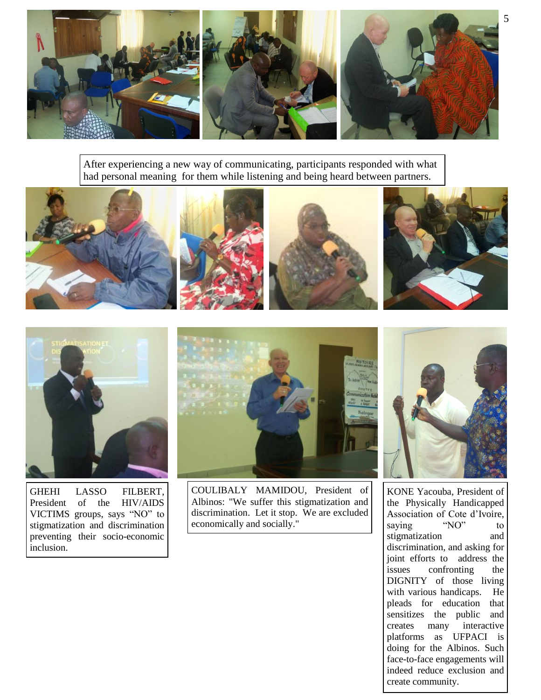

After experiencing a new way of communicating, participants responded with what had personal meaning for them while listening and being heard between partners.





GHEHI LASSO FILBERT, President of the HIV/AIDS VICTIMS groups, says "NO" to stigmatization and discrimination preventing their socio-economic inclusion.



COULIBALY MAMIDOU, President of Albinos: "We suffer this stigmatization and discrimination. Let it stop. We are excluded economically and socially."



KONE Yacouba, President of the Physically Handicapped Association of Cote d'Ivoire,<br>saving "NO" to saying "NO" to stigmatization and discrimination, and asking for joint efforts to address the issues confronting the DIGNITY of those living with various handicaps. He pleads for education that sensitizes the public and creates many interactive platforms as UFPACI is doing for the Albinos. Such face-to-face engagements will indeed reduce exclusion and create community.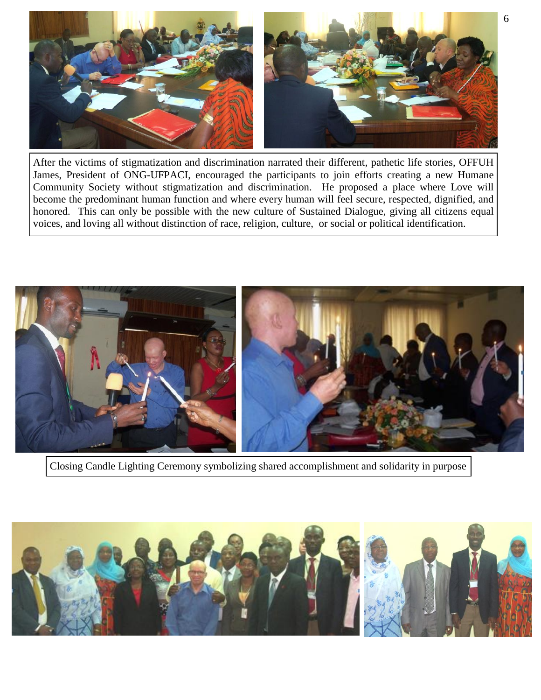

After the victims of stigmatization and discrimination narrated their different, pathetic life stories, OFFUH James, President of ONG-UFPACI, encouraged the participants to join efforts creating a new Humane Community Society without stigmatization and discrimination. He proposed a place where Love will become the predominant human function and where every human will feel secure, respected, dignified, and honored. This can only be possible with the new culture of Sustained Dialogue, giving all citizens equal voices, and loving all without distinction of race, religion, culture, or social or political identification.



Closing Candle Lighting Ceremony symbolizing shared accomplishment and solidarity in purpose

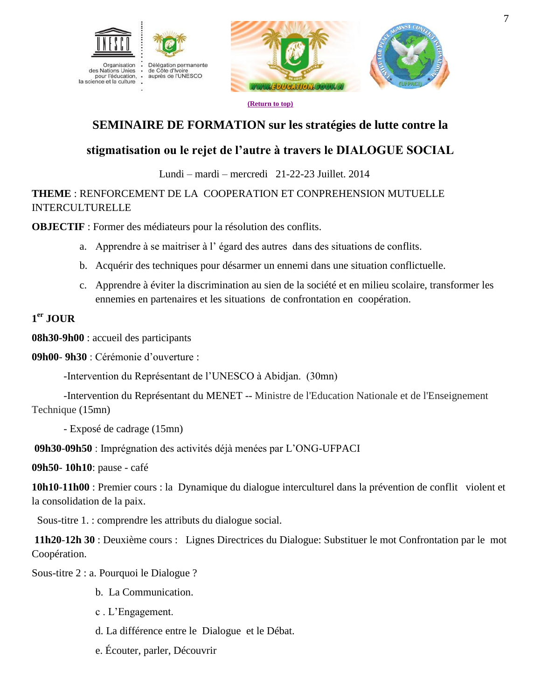



**[\(Return to top\)](#page-0-0)**

# **SEMINAIRE DE FORMATION sur les stratégies de lutte contre la**

# <span id="page-6-0"></span>**stigmatisation ou le rejet de l'autre à travers le DIALOGUE SOCIAL**

Lundi – mardi – mercredi 21-22-23 Juillet. 2014

## **THEME** : RENFORCEMENT DE LA COOPERATION ET CONPREHENSION MUTUELLE INTERCULTURELLE

**OBJECTIF** : Former des médiateurs pour la résolution des conflits.

- a. Apprendre à se maitriser à l' égard des autres dans des situations de conflits.
- b. Acquérir des techniques pour désarmer un ennemi dans une situation conflictuelle.
- c. Apprendre à éviter la discrimination au sien de la société et en milieu scolaire, transformer les ennemies en partenaires et les situations de confrontation en coopération.

## **1 er JOUR**

**08h30-9h00** : accueil des participants

**09h00**- **9h30** : Cérémonie d'ouverture :

-Intervention du Représentant de l'UNESCO à Abidjan. (30mn)

-Intervention du Représentant du MENET -- Ministre de l'Education Nationale et de l'Enseignement Technique (15mn)

- Exposé de cadrage (15mn)

**09h30**-**09h50** : Imprégnation des activités déjà menées par L'ONG-UFPACI

**09h50**- **10h10**: pause - café

**10h10**-**11h00** : Premier cours : la Dynamique du dialogue interculturel dans la prévention de conflit violent et la consolidation de la paix.

Sous-titre 1. : comprendre les attributs du dialogue social.

**11h20**-**12h 30** : Deuxième cours : Lignes Directrices du Dialogue: Substituer le mot Confrontation par le mot Coopération.

Sous-titre 2 : a. Pourquoi le Dialogue ?

- b. La Communication.
- c . L'Engagement.
- d. La différence entre le Dialogue et le Débat.
- e. Écouter, parler, Découvrir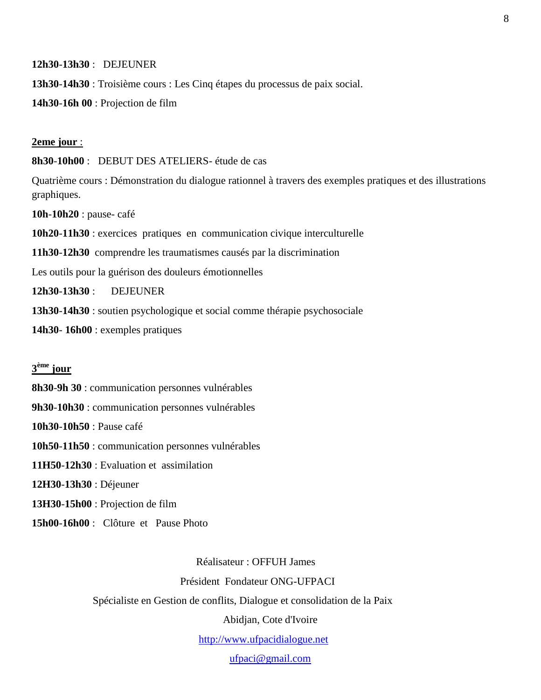**12h30**-**13h30** : DEJEUNER

**13h30**-**14h30** : Troisième cours : Les Cinq étapes du processus de paix social.

**14h30**-**16h 00** : Projection de film

#### **2eme jour** :

**8h30**-**10h00** : DEBUT DES ATELIERS- étude de cas

Quatrième cours : Démonstration du dialogue rationnel à travers des exemples pratiques et des illustrations graphiques.

**10h**-**10h20** : pause- café

**10h20**-**11h30** : exercices pratiques en communication civique interculturelle

**11h30**-**12h30** comprendre les traumatismes causés par la discrimination

Les outils pour la guérison des douleurs émotionnelles

**12h30**-**13h30** : DEJEUNER

**13h30**-**14h30** : soutien psychologique et social comme thérapie psychosociale

**14h30**- **16h00** : exemples pratiques

#### **3 ème jour**

**8h30**-**9h 30** : communication personnes vulnérables

**9h30**-**10h30** : communication personnes vulnérables

**10h30**-**10h50** : Pause café

**10h50**-**11h50** : communication personnes vulnérables

**11H50**-**12h30** : Evaluation et assimilation

**12H30**-**13h30** : Déjeuner

**13H30**-**15h00** : Projection de film

**15h00**-**16h00** : Clôture et Pause Photo

Réalisateur : OFFUH James

Président Fondateur ONG-UFPACI

Spécialiste en Gestion de conflits, Dialogue et consolidation de la Paix

Abidjan, Cote d'Ivoire

[http://www.ufpacidialogue.net](http://www.ufpacidialogue.net/)

[ufpaci@gmail.com](mailto:ufpaci@gmail.com)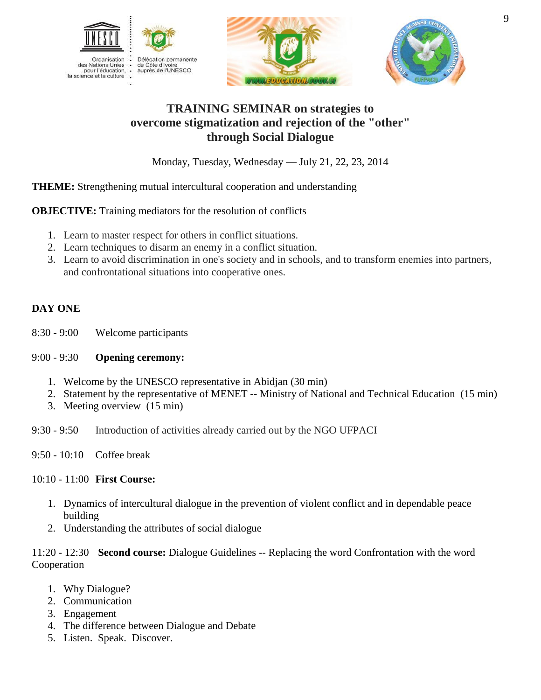





# **TRAINING SEMINAR on strategies to overcome stigmatization and rejection of the "other" through Social Dialogue**

Monday, Tuesday, Wednesday — July 21, 22, 23, 2014

## **THEME:** Strengthening mutual intercultural cooperation and understanding

**OBJECTIVE:** Training mediators for the resolution of conflicts

- 1. Learn to master respect for others in conflict situations.
- 2. Learn techniques to disarm an enemy in a conflict situation.
- 3. Learn to avoid discrimination in one's society and in schools, and to transform enemies into partners, and confrontational situations into cooperative ones.

## **DAY ONE**

8:30 - 9:00 Welcome participants

## 9:00 - 9:30 **Opening ceremony:**

- 1. Welcome by the UNESCO representative in Abidjan (30 min)
- 2. Statement by the representative of MENET -- Ministry of National and Technical Education (15 min)
- 3. Meeting overview (15 min)

9:30 - 9:50 Introduction of activities already carried out by the NGO UFPACI

9:50 - 10:10 Coffee break

## 10:10 - 11:00 **First Course:**

- 1. Dynamics of intercultural dialogue in the prevention of violent conflict and in dependable peace building
- 2. Understanding the attributes of social dialogue

11:20 - 12:30 **Second course:** Dialogue Guidelines -- Replacing the word Confrontation with the word Cooperation

- 1. Why Dialogue?
- 2. Communication
- 3. Engagement
- 4. The difference between Dialogue and Debate
- 5. Listen. Speak. Discover.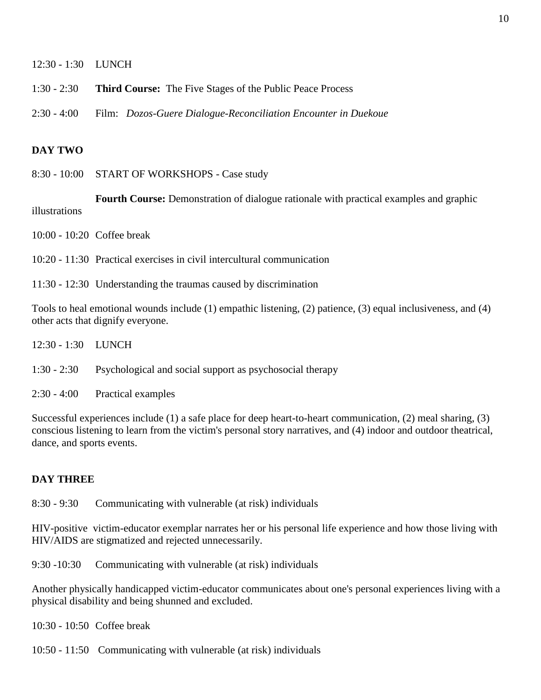12:30 - 1:30 LUNCH

1:30 - 2:30 **Third Course:** The Five Stages of the Public Peace Process

2:30 - 4:00 Film: *Dozos-Guere Dialogue-Reconciliation Encounter in Duekoue*

#### **DAY TWO**

8:30 - 10:00 START OF WORKSHOPS - Case study

**Fourth Course:** Demonstration of dialogue rationale with practical examples and graphic illustrations

10:00 - 10:20 Coffee break

- 10:20 11:30 Practical exercises in civil intercultural communication
- 11:30 12:30 Understanding the traumas caused by discrimination

Tools to heal emotional wounds include (1) empathic listening, (2) patience, (3) equal inclusiveness, and (4) other acts that dignify everyone.

- 12:30 1:30 LUNCH
- 1:30 2:30 Psychological and social support as psychosocial therapy
- 2:30 4:00 Practical examples

Successful experiences include (1) a safe place for deep heart-to-heart communication, (2) meal sharing, (3) conscious listening to learn from the victim's personal story narratives, and (4) indoor and outdoor theatrical, dance, and sports events.

#### **DAY THREE**

8:30 - 9:30 Communicating with vulnerable (at risk) individuals

HIV-positive victim-educator exemplar narrates her or his personal life experience and how those living with HIV/AIDS are stigmatized and rejected unnecessarily.

9:30 -10:30 Communicating with vulnerable (at risk) individuals

Another physically handicapped victim-educator communicates about one's personal experiences living with a physical disability and being shunned and excluded.

10:30 - 10:50 Coffee break

10:50 - 11:50 Communicating with vulnerable (at risk) individuals